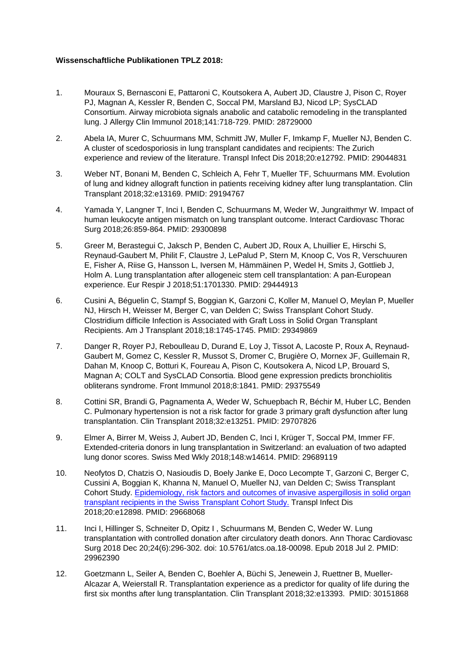## **Wissenschaftliche Publikationen TPLZ 2018:**

- 1. Mouraux S, Bernasconi E, Pattaroni C, Koutsokera A, Aubert JD, Claustre J, Pison C, Royer PJ, Magnan A, Kessler R, Benden C, Soccal PM, Marsland BJ, Nicod LP; SysCLAD Consortium. Airway microbiota signals anabolic and catabolic remodeling in the transplanted lung. J Allergy Clin Immunol 2018;141:718-729. PMID: 28729000
- 2. Abela IA, Murer C, Schuurmans MM, Schmitt JW, Muller F, Imkamp F, Mueller NJ, Benden C. A cluster of scedosporiosis in lung transplant candidates and recipients: The Zurich experience and review of the literature. Transpl Infect Dis 2018;20:e12792. PMID: 29044831
- 3. Weber NT, Bonani M, Benden C, Schleich A, Fehr T, Mueller TF, Schuurmans MM. Evolution of lung and kidney allograft function in patients receiving kidney after lung transplantation. Clin Transplant 2018;32:e13169. PMID: 29194767
- 4. Yamada Y, Langner T, Inci I, Benden C, Schuurmans M, Weder W, Jungraithmyr W. Impact of human leukocyte antigen mismatch on lung transplant outcome. Interact Cardiovasc Thorac Surg 2018;26:859-864. PMID: 29300898
- 5. Greer M, Berastegui C, Jaksch P, Benden C, Aubert JD, Roux A, Lhuillier E, Hirschi S, Reynaud-Gaubert M, Philit F, Claustre J, LePalud P, Stern M, Knoop C, Vos R, Verschuuren E, Fisher A, Riise G, Hansson L, Iversen M, Hämmäinen P, Wedel H, Smits J, Gottlieb J, Holm A. Lung transplantation after allogeneic stem cell transplantation: A pan-European experience. Eur Respir J 2018;51:1701330. PMID: 29444913
- 6. Cusini A, Béguelin C, Stampf S, Boggian K, Garzoni C, Koller M, Manuel O, Meylan P, Mueller NJ, Hirsch H, Weisser M, Berger C, van Delden C; Swiss Transplant Cohort Study. Clostridium difficile Infection is Associated with Graft Loss in Solid Organ Transplant Recipients. Am J Transplant 2018;18:1745-1745. PMID: 29349869
- 7. Danger R, Royer PJ, Reboulleau D, Durand E, Loy J, Tissot A, Lacoste P, Roux A, Reynaud-Gaubert M, Gomez C, Kessler R, Mussot S, Dromer C, Brugière O, Mornex JF, Guillemain R, Dahan M, Knoop C, Botturi K, Foureau A, Pison C, Koutsokera A, Nicod LP, Brouard S, Magnan A; COLT and SysCLAD Consortia. Blood gene expression predicts bronchiolitis obliterans syndrome. Front Immunol 2018;8:1841. PMID: 29375549
- 8. Cottini SR, Brandi G, Pagnamenta A, Weder W, Schuepbach R, Béchir M, Huber LC, Benden C. Pulmonary hypertension is not a risk factor for grade 3 primary graft dysfunction after lung transplantation. Clin Transplant 2018;32:e13251. PMID: 29707826
- 9. Elmer A, Birrer M, Weiss J, Aubert JD, Benden C, Inci I, Krüger T, Soccal PM, Immer FF. Extended-criteria donors in lung transplantation in Switzerland: an evaluation of two adapted lung donor scores. Swiss Med Wkly 2018;148:w14614. PMID: 29689119
- 10. Neofytos D, Chatzis O, Nasioudis D, Boely Janke E, Doco Lecompte T, Garzoni C, Berger C, Cussini A, Boggian K, Khanna N, Manuel O, Mueller NJ, van Delden C; Swiss Transplant Cohort Study. [Epidemiology, risk factors and outcomes of invasive aspergillosis in solid organ](https://www.ncbi.nlm.nih.gov/pubmed/29668068)  [transplant recipients in the Swiss Transplant Cohort Study.](https://www.ncbi.nlm.nih.gov/pubmed/29668068) Transpl Infect Dis 2018;20:e12898. PMID: 29668068
- 11. Inci I, Hillinger S, Schneiter D, Opitz I , Schuurmans M, Benden C, Weder W. Lung transplantation with controlled donation after circulatory death donors. Ann Thorac Cardiovasc Surg 2018 Dec 20;24(6):296-302. doi: 10.5761/atcs.oa.18-00098. Epub 2018 Jul 2. PMID: 29962390
- 12. Goetzmann L, Seiler A, Benden C, Boehler A, Büchi S, Jenewein J, Ruettner B, Mueller-Alcazar A, Weierstall R. Transplantation experience as a predictor for quality of life during the first six months after lung transplantation. Clin Transplant 2018;32:e13393. PMID: 30151868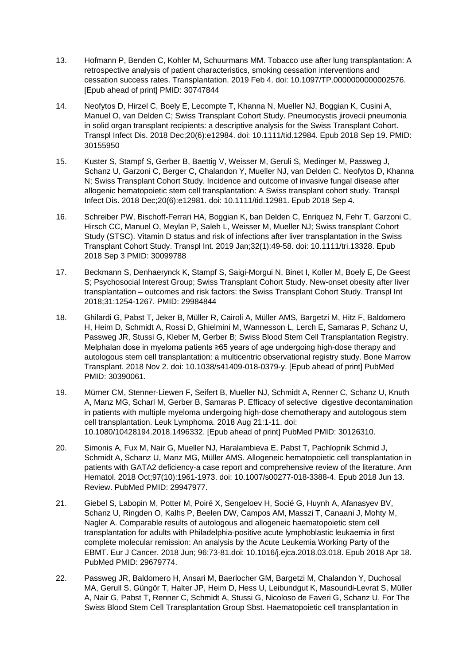- 13. Hofmann P, Benden C, Kohler M, Schuurmans MM. Tobacco use after lung transplantation: A retrospective analysis of patient characteristics, smoking cessation interventions and cessation success rates. Transplantation. 2019 Feb 4. doi: 10.1097/TP.0000000000002576. [Epub ahead of print] PMID: 30747844
- 14. Neofytos D, Hirzel C, Boely E, Lecompte T, Khanna N, Mueller NJ, Boggian K, Cusini A, Manuel O, van Delden C; Swiss Transplant Cohort Study. Pneumocystis jirovecii pneumonia in solid organ transplant recipients: a descriptive analysis for the Swiss Transplant Cohort. Transpl Infect Dis. 2018 Dec;20(6):e12984. doi: 10.1111/tid.12984. Epub 2018 Sep 19. PMID: 30155950
- 15. Kuster S, Stampf S, Gerber B, Baettig V, Weisser M, Geruli S, Medinger M, Passweg J, Schanz U, Garzoni C, Berger C, Chalandon Y, Mueller NJ, van Delden C, Neofytos D, Khanna N; Swiss Transplant Cohort Study. Incidence and outcome of invasive fungal disease after allogenic hematopoietic stem cell transplantation: A Swiss transplant cohort study. Transpl Infect Dis. 2018 Dec;20(6):e12981. doi: 10.1111/tid.12981. Epub 2018 Sep 4.
- 16. Schreiber PW, Bischoff-Ferrari HA, Boggian K, ban Delden C, Enriquez N, Fehr T, Garzoni C, Hirsch CC, Manuel O, Meylan P, Saleh L, Weisser M, Mueller NJ; Swiss transplant Cohort Study (STSC). Vitamin D status and risk of infections after liver transplantation in the Swiss Transplant Cohort Study. Transpl Int. 2019 Jan;32(1):49-58. doi: 10.1111/tri.13328. Epub 2018 Sep 3 PMID: 30099788
- 17. Beckmann S, Denhaerynck K, Stampf S, Saigi-Morgui N, Binet I, Koller M, Boely E, De Geest S; Psychosocial Interest Group; Swiss Transplant Cohort Study. New-onset obesity after liver transplantation – outcomes and risk factors: the Swiss Transplant Cohort Study. Transpl Int 2018;31:1254-1267. PMID: 29984844
- 18. Ghilardi G, Pabst T, Jeker B, Müller R, Cairoli A, Müller AMS, Bargetzi M, Hitz F, Baldomero H, Heim D, Schmidt A, Rossi D, Ghielmini M, Wannesson L, Lerch E, Samaras P, Schanz U, Passweg JR, Stussi G, Kleber M, Gerber B; Swiss Blood Stem Cell Transplantation Registry. Melphalan dose in myeloma patients ≥65 years of age undergoing high-dose therapy and autologous stem cell transplantation: a multicentric observational registry study. Bone Marrow Transplant. 2018 Nov 2. doi: 10.1038/s41409-018-0379-y. [Epub ahead of print] PubMed PMID: 30390061.
- 19. Mürner CM, Stenner-Liewen F, Seifert B, Mueller NJ, Schmidt A, Renner C, Schanz U, Knuth A, Manz MG, Scharl M, Gerber B, Samaras P. Efficacy of selective digestive decontamination in patients with multiple myeloma undergoing high-dose chemotherapy and autologous stem cell transplantation. Leuk Lymphoma. 2018 Aug 21:1-11. doi: 10.1080/10428194.2018.1496332. [Epub ahead of print] PubMed PMID: 30126310.
- 20. Simonis A, Fux M, Nair G, Mueller NJ, Haralambieva E, Pabst T, Pachlopnik Schmid J, Schmidt A, Schanz U, Manz MG, Müller AMS. Allogeneic hematopoietic cell transplantation in patients with GATA2 deficiency-a case report and comprehensive review of the literature. Ann Hematol. 2018 Oct;97(10):1961-1973. doi: 10.1007/s00277-018-3388-4. Epub 2018 Jun 13. Review. PubMed PMID: 29947977.
- 21. Giebel S, Labopin M, Potter M, Poiré X, Sengeloev H, Socié G, Huynh A, Afanasyev BV, Schanz U, Ringden O, Kalhs P, Beelen DW, Campos AM, Masszi T, Canaani J, Mohty M, Nagler A. Comparable results of autologous and allogeneic haematopoietic stem cell transplantation for adults with Philadelphia-positive acute lymphoblastic leukaemia in first complete molecular remission: An analysis by the Acute Leukemia Working Party of the EBMT. Eur J Cancer. 2018 Jun; 96:73-81.doi: 10.1016/j.ejca.2018.03.018. Epub 2018 Apr 18. PubMed PMID: 29679774.
- 22. Passweg JR, Baldomero H, Ansari M, Baerlocher GM, Bargetzi M, Chalandon Y, Duchosal MA, Gerull S, Güngör T, Halter JP, Heim D, Hess U, Leibundgut K, Masouridi-Levrat S, Müller A, Nair G, Pabst T, Renner C, Schmidt A, Stussi G, Nicoloso de Faveri G, Schanz U, For The Swiss Blood Stem Cell Transplantation Group Sbst. Haematopoietic cell transplantation in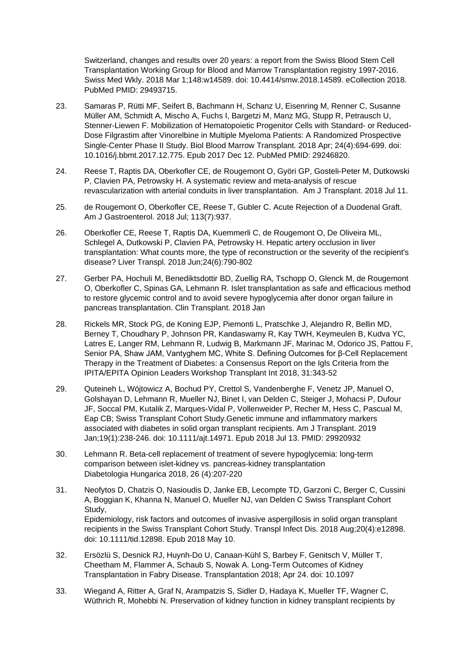Switzerland, changes and results over 20 years: a report from the Swiss Blood Stem Cell Transplantation Working Group for Blood and Marrow Transplantation registry 1997-2016. Swiss Med Wkly. 2018 Mar 1;148:w14589. doi: 10.4414/smw.2018.14589. eCollection 2018. PubMed PMID: 29493715.

- 23. Samaras P, Rütti MF, Seifert B, Bachmann H, Schanz U, Eisenring M, Renner C, Susanne Müller AM, Schmidt A, Mischo A, Fuchs I, Bargetzi M, Manz MG, Stupp R, Petrausch U, Stenner-Liewen F. Mobilization of Hematopoietic Progenitor Cells with Standard- or Reduced-Dose Filgrastim after Vinorelbine in Multiple Myeloma Patients: A Randomized Prospective Single-Center Phase II Study. Biol Blood Marrow Transplant. 2018 Apr; 24(4):694-699. doi: 10.1016/j.bbmt.2017.12.775. Epub 2017 Dec 12. PubMed PMID: 29246820.
- 24. Reese T, Raptis DA, Oberkofler CE, de Rougemont O, Györi GP, Gosteli-Peter M, Dutkowski P, Clavien PA, Petrowsky H. A systematic review and meta-analysis of rescue revascularization with arterial conduits in liver transplantation. Am J Transplant. 2018 Jul 11.
- 25. de Rougemont O, Oberkofler CE, Reese T, Gubler C. Acute Rejection of a Duodenal Graft. Am J Gastroenterol. 2018 Jul; 113(7):937.
- 26. Oberkofler CE, Reese T, Raptis DA, Kuemmerli C, de Rougemont O, De Oliveira ML, Schlegel A, Dutkowski P, Clavien PA, Petrowsky H. Hepatic artery occlusion in liver transplantation: What counts more, the type of reconstruction or the severity of the recipient's disease? Liver Transpl. 2018 Jun;24(6):790-802
- 27. Gerber PA, Hochuli M, Benediktsdottir BD, Zuellig RA, Tschopp O, Glenck M, de Rougemont O, Oberkofler C, Spinas GA, Lehmann R. Islet transplantation as safe and efficacious method to restore glycemic control and to avoid severe hypoglycemia after donor organ failure in pancreas transplantation. Clin Transplant. 2018 Jan
- 28. Rickels MR, Stock PG, de Koning EJP, Piemonti L, Pratschke J, Alejandro R, Bellin MD, Berney T, Choudhary P, Johnson PR, Kandaswamy R, Kay TWH, Keymeulen B, Kudva YC, Latres E, Langer RM, Lehmann R, Ludwig B, Markmann JF, Marinac M, Odorico JS, Pattou F, Senior PA, Shaw JAM, Vantyghem MC, White S. Defining Outcomes for β-Cell Replacement Therapy in the Treatment of Diabetes: a Consensus Report on the Igls Criteria from the IPITA/EPITA Opinion Leaders Workshop Transplant Int 2018, 31:343-52
- 29. Quteineh L, Wójtowicz A, Bochud PY, Crettol S, Vandenberghe F, Venetz JP, Manuel O, Golshayan D, Lehmann R, Mueller NJ, Binet I, van Delden C, Steiger J, Mohacsi P, Dufour JF, Soccal PM, Kutalik Z, Marques-Vidal P, Vollenweider P, Recher M, Hess C, Pascual M, Eap CB; Swiss Transplant Cohort Study.Genetic immune and inflammatory markers associated with diabetes in solid organ transplant recipients. Am J Transplant. 2019 Jan;19(1):238-246. doi: 10.1111/ajt.14971. Epub 2018 Jul 13. PMID: 29920932
- 30. Lehmann R. Beta-cell replacement of treatment of severe hypoglycemia: long-term comparison between islet-kidney vs. pancreas-kidney transplantation Diabetologia Hungarica 2018, 26 (4):207-220
- 31. Neofytos D, Chatzis O, Nasioudis D, Janke EB, Lecompte TD, Garzoni C, Berger C, Cussini A, Boggian K, Khanna N, Manuel O, Mueller NJ, van Delden C Swiss Transplant Cohort Study, Epidemiology, risk factors and outcomes of invasive aspergillosis in solid organ transplant recipients in the Swiss Transplant Cohort Study. Transpl Infect Dis. 2018 Aug;20(4):e12898. doi: 10.1111/tid.12898. Epub 2018 May 10.
- 32. Ersözlü S, Desnick RJ, Huynh-Do U, Canaan-Kühl S, Barbey F, Genitsch V, Müller T, Cheetham M, Flammer A, Schaub S, Nowak A. Long-Term Outcomes of Kidney Transplantation in Fabry Disease. Transplantation 2018; Apr 24. doi: 10.1097
- 33. Wiegand A, Ritter A, Graf N, Arampatzis S, Sidler D, Hadaya K, Mueller TF, Wagner C, Wüthrich R, Mohebbi N. Preservation of kidney function in kidney transplant recipients by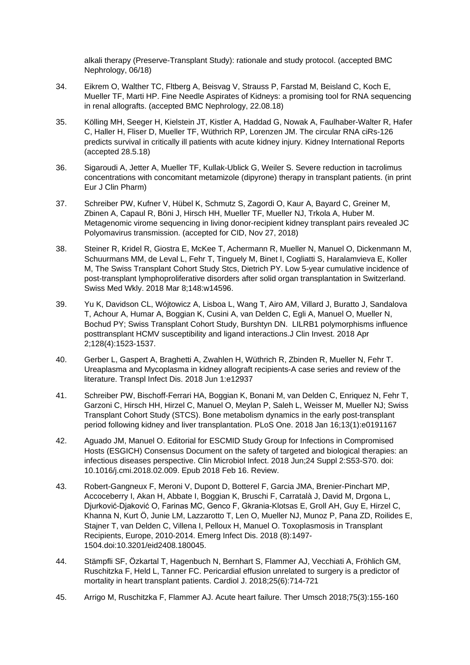alkali therapy (Preserve-Transplant Study): rationale and study protocol. (accepted BMC Nephrology, 06/18)

- 34. Eikrem O, Walther TC, Fltberg A, Beisvag V, Strauss P, Farstad M, Beisland C, Koch E, Mueller TF, Marti HP. Fine Needle Aspirates of Kidneys: a promising tool for RNA sequencing in renal allografts. (accepted BMC Nephrology, 22.08.18)
- 35. Kölling MH, Seeger H, Kielstein JT, Kistler A, Haddad G, Nowak A, Faulhaber-Walter R, Hafer C, Haller H, Fliser D, Mueller TF, Wüthrich RP, Lorenzen JM. The circular RNA ciRs-126 predicts survival in critically ill patients with acute kidney injury. Kidney International Reports (accepted 28.5.18)
- 36. Sigaroudi A, Jetter A, Mueller TF, Kullak-Ublick G, Weiler S. Severe reduction in tacrolimus concentrations with concomitant metamizole (dipyrone) therapy in transplant patients. (in print Eur J Clin Pharm)
- 37. Schreiber PW, Kufner V, Hübel K, Schmutz S, Zagordi O, Kaur A, Bayard C, Greiner M, Zbinen A, Capaul R, Böni J, Hirsch HH, Mueller TF, Mueller NJ, Trkola A, Huber M. Metagenomic virome sequencing in living donor-recipient kidney transplant pairs revealed JC Polyomavirus transmission. (accepted for CID, Nov 27, 2018)
- 38. Steiner R, Kridel R, Giostra E, McKee T, Achermann R, Mueller N, Manuel O, Dickenmann M, Schuurmans MM, de Leval L, Fehr T, Tinguely M, Binet I, Cogliatti S, Haralamvieva E, Koller M, The Swiss Transplant Cohort Study Stcs, Dietrich PY. Low 5-year cumulative incidence of post-transplant lymphoproliferative disorders after solid organ transplantation in Switzerland. Swiss Med Wkly. 2018 Mar 8;148:w14596.
- 39. Yu K, Davidson CL, Wójtowicz A, Lisboa L, Wang T, Airo AM, Villard J, Buratto J, Sandalova T, Achour A, Humar A, Boggian K, Cusini A, van Delden C, Egli A, Manuel O, Mueller N, Bochud PY; Swiss Transplant Cohort Study, Burshtyn DN. LILRB1 polymorphisms influence posttransplant HCMV susceptibility and ligand interactions.J Clin Invest. 2018 Apr 2;128(4):1523-1537.
- 40. Gerber L, Gaspert A, Braghetti A, Zwahlen H, Wüthrich R, Zbinden R, Mueller N, Fehr T. Ureaplasma and Mycoplasma in kidney allograft recipients-A case series and review of the literature. Transpl Infect Dis. 2018 Jun 1:e12937
- 41. Schreiber PW, Bischoff-Ferrari HA, Boggian K, Bonani M, van Delden C, Enriquez N, Fehr T, Garzoni C, Hirsch HH, Hirzel C, Manuel O, Meylan P, Saleh L, Weisser M, Mueller NJ; Swiss Transplant Cohort Study (STCS). Bone metabolism dynamics in the early post-transplant period following kidney and liver transplantation. PLoS One. 2018 Jan 16;13(1):e0191167
- 42. Aguado JM, Manuel O. Editorial for ESCMID Study Group for Infections in Compromised Hosts (ESGICH) Consensus Document on the safety of targeted and biological therapies: an infectious diseases perspective. Clin Microbiol Infect. 2018 Jun;24 Suppl 2:S53-S70. doi: 10.1016/j.cmi.2018.02.009. Epub 2018 Feb 16. Review.
- 43. Robert-Gangneux F, Meroni V, Dupont D, Botterel F, Garcia JMA, Brenier-Pinchart MP, Accoceberry I, Akan H, Abbate I, Boggian K, Bruschi F, Carratalà J, David M, Drgona L, Djurković-Djaković O, Farinas MC, Genco F, Gkrania-Klotsas E, Groll AH, Guy E, Hirzel C, Khanna N, Kurt Ö, Junie LM, Lazzarotto T, Len O, Mueller NJ, Munoz P, Pana ZD, Roilides E, Stajner T, van Delden C, Villena I, Pelloux H, Manuel O. Toxoplasmosis in Transplant Recipients, Europe, 2010-2014. Emerg Infect Dis. 2018 (8):1497- 1504.doi:10.3201/eid2408.180045.
- 44. Stämpfli SF, Özkartal T, Hagenbuch N, Bernhart S, Flammer AJ, Vecchiati A, Fröhlich GM, Ruschitzka F, Held L, Tanner FC. Pericardial effusion unrelated to surgery is a predictor of mortality in heart transplant patients. Cardiol J. 2018;25(6):714-721
- 45. Arrigo M, Ruschitzka F, Flammer AJ. Acute heart failure. Ther Umsch 2018;75(3):155-160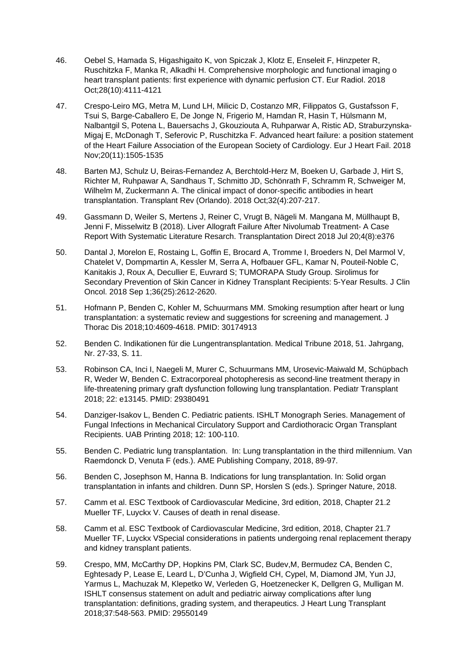- 46. Oebel S, Hamada S, Higashigaito K, von Spiczak J, Klotz E, Enseleit F, Hinzpeter R, Ruschitzka F, Manka R, Alkadhi H. Comprehensive morphologic and functional imaging o heart transplant patients: first experience with dynamic perfusion CT. Eur Radiol. 2018 Oct;28(10):4111-4121
- 47. Crespo-Leiro MG, Metra M, Lund LH, Milicic D, Costanzo MR, Filippatos G, Gustafsson F, Tsui S, Barge-Caballero E, De Jonge N, Frigerio M, Hamdan R, Hasin T, Hülsmann M, Nalbantgil S, Potena L, Bauersachs J, Gkouziouta A, Ruhparwar A, Ristic AD, Straburzynska-Migaj E, McDonagh T, Seferovic P, Ruschitzka F. Advanced heart failure: a position statement of the Heart Failure Association of the European Society of Cardiology. Eur J Heart Fail. 2018 Nov;20(11):1505-1535
- 48. Barten MJ, Schulz U, Beiras-Fernandez A, Berchtold-Herz M, Boeken U, Garbade J, Hirt S, Richter M, Ruhpawar A, Sandhaus T, Schmitto JD, Schönrath F, Schramm R, Schweiger M, Wilhelm M, Zuckermann A. The clinical impact of donor-specific antibodies in heart transplantation. Transplant Rev (Orlando). 2018 Oct;32(4):207-217.
- 49. Gassmann D, Weiler S, Mertens J, Reiner C, Vrugt B, Nägeli M. Mangana M, Müllhaupt B, Jenni F, Misselwitz B (2018). Liver Allograft Failure After Nivolumab Treatment- A Case Report With Systematic Literature Resarch. Transplantation Direct 2018 Jul 20;4(8):e376
- 50. Dantal J, Morelon E, Rostaing L, Goffin E, Brocard A, Tromme I, Broeders N, Del Marmol V, Chatelet V, Dompmartin A, Kessler M, Serra A, Hofbauer GFL, Kamar N, Pouteil-Noble C, Kanitakis J, Roux A, Decullier E, Euvrard S; TUMORAPA Study Group. Sirolimus for Secondary Prevention of Skin Cancer in Kidney Transplant Recipients: 5-Year Results. J Clin Oncol. 2018 Sep 1;36(25):2612-2620.
- 51. Hofmann P, Benden C, Kohler M, Schuurmans MM. Smoking resumption after heart or lung transplantation: a systematic review and suggestions for screening and management. J Thorac Dis 2018;10:4609-4618. PMID: 30174913
- 52. Benden C. Indikationen für die Lungentransplantation. Medical Tribune 2018, 51. Jahrgang, Nr. 27-33, S. 11.
- 53. Robinson CA, Inci I, Naegeli M, Murer C, Schuurmans MM, Urosevic-Maiwald M, Schüpbach R, Weder W, Benden C. Extracorporeal photopheresis as second-line treatment therapy in life-threatening primary graft dysfunction following lung transplantation. Pediatr Transplant 2018; 22: e13145. PMID: 29380491
- 54. Danziger-Isakov L, Benden C. Pediatric patients. ISHLT Monograph Series. Management of Fungal Infections in Mechanical Circulatory Support and Cardiothoracic Organ Transplant Recipients. UAB Printing 2018; 12: 100-110.
- 55. Benden C. Pediatric lung transplantation. In: Lung transplantation in the third millennium. Van Raemdonck D, Venuta F (eds.). AME Publishing Company, 2018, 89-97.
- 56. Benden C, Josephson M, Hanna B. Indications for lung transplantation. In: Solid organ transplantation in infants and children. Dunn SP, Horslen S (eds.). Springer Nature, 2018.
- 57. Camm et al. ESC Textbook of Cardiovascular Medicine, 3rd edition, 2018, Chapter 21.2 Mueller TF, Luyckx V. Causes of death in renal disease.
- 58. Camm et al. ESC Textbook of Cardiovascular Medicine, 3rd edition, 2018, Chapter 21.7 Mueller TF, Luyckx VSpecial considerations in patients undergoing renal replacement therapy and kidney transplant patients.
- 59. Crespo, MM, McCarthy DP, Hopkins PM, Clark SC, Budev,M, Bermudez CA, Benden C, Eghtesady P, Lease E, Leard L, D'Cunha J, Wigfield CH, Cypel, M, Diamond JM, Yun JJ, Yarmus L, Machuzak M, Klepetko W, Verleden G, Hoetzenecker K, Dellgren G, Mulligan M. ISHLT consensus statement on adult and pediatric airway complications after lung transplantation: definitions, grading system, and therapeutics. J Heart Lung Transplant 2018;37:548-563. PMID: 29550149